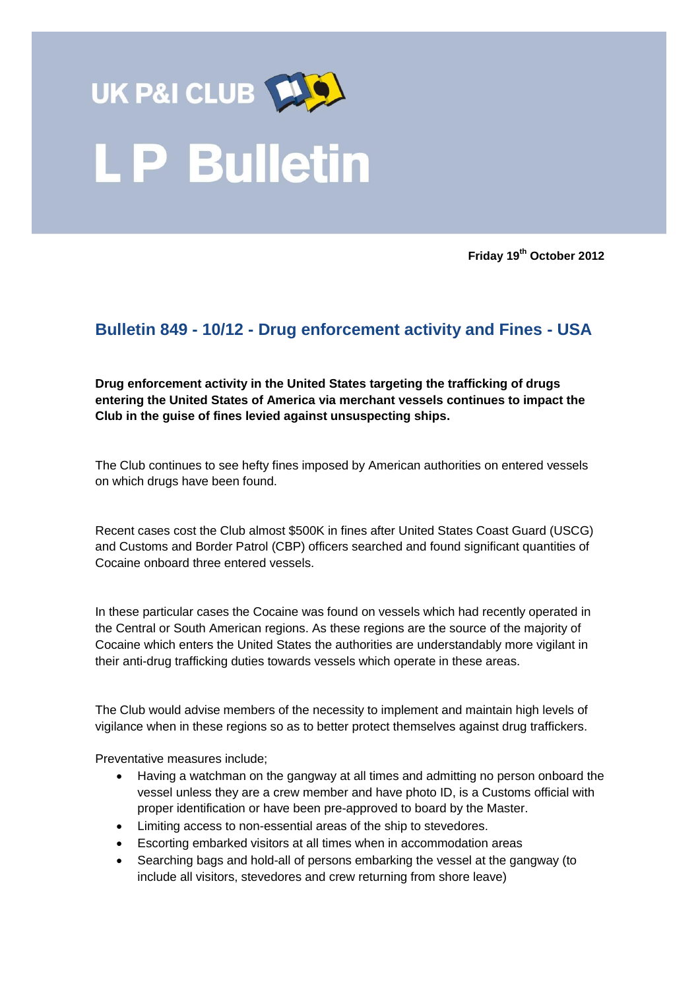

**Friday 19th October 2012**

## **Bulletin 849 - 10/12 - Drug enforcement activity and Fines - USA**

**Drug enforcement activity in the United States targeting the trafficking of drugs entering the United States of America via merchant vessels continues to impact the Club in the guise of fines levied against unsuspecting ships.** 

The Club continues to see hefty fines imposed by American authorities on entered vessels on which drugs have been found.

Recent cases cost the Club almost \$500K in fines after United States Coast Guard (USCG) and Customs and Border Patrol (CBP) officers searched and found significant quantities of Cocaine onboard three entered vessels.

In these particular cases the Cocaine was found on vessels which had recently operated in the Central or South American regions. As these regions are the source of the majority of Cocaine which enters the United States the authorities are understandably more vigilant in their anti-drug trafficking duties towards vessels which operate in these areas.

The Club would advise members of the necessity to implement and maintain high levels of vigilance when in these regions so as to better protect themselves against drug traffickers.

Preventative measures include;

- Having a watchman on the gangway at all times and admitting no person onboard the vessel unless they are a crew member and have photo ID, is a Customs official with proper identification or have been pre-approved to board by the Master.
- Limiting access to non-essential areas of the ship to stevedores.
- Escorting embarked visitors at all times when in accommodation areas
- Searching bags and hold-all of persons embarking the vessel at the gangway (to include all visitors, stevedores and crew returning from shore leave)